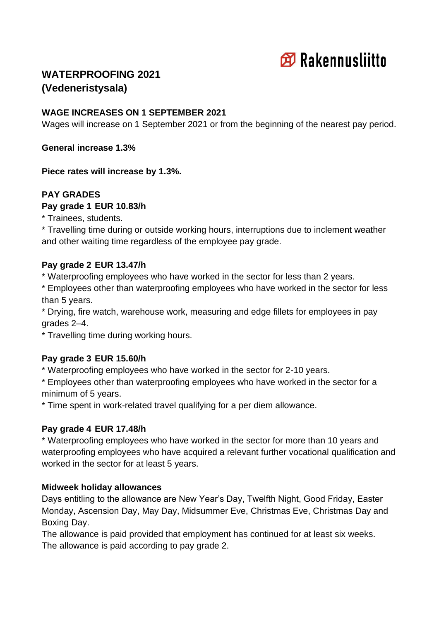

# **WATERPROOFING 2021 (Vedeneristysala)**

## **WAGE INCREASES ON 1 SEPTEMBER 2021**

Wages will increase on 1 September 2021 or from the beginning of the nearest pay period.

**General increase 1.3%**

**Piece rates will increase by 1.3%.**

## **PAY GRADES**

#### **Pay grade 1 EUR 10.83/h**

\* Trainees, students.

\* Travelling time during or outside working hours, interruptions due to inclement weather and other waiting time regardless of the employee pay grade.

### **Pay grade 2 EUR 13.47/h**

\* Waterproofing employees who have worked in the sector for less than 2 years.

\* Employees other than waterproofing employees who have worked in the sector for less than 5 years.

\* Drying, fire watch, warehouse work, measuring and edge fillets for employees in pay grades 2–4.

\* Travelling time during working hours.

### **Pay grade 3 EUR 15.60/h**

\* Waterproofing employees who have worked in the sector for 2-10 years.

\* Employees other than waterproofing employees who have worked in the sector for a minimum of 5 years.

\* Time spent in work-related travel qualifying for a per diem allowance.

### **Pay grade 4 EUR 17.48/h**

\* Waterproofing employees who have worked in the sector for more than 10 years and waterproofing employees who have acquired a relevant further vocational qualification and worked in the sector for at least 5 years.

### **Midweek holiday allowances**

Days entitling to the allowance are New Year's Day, Twelfth Night, Good Friday, Easter Monday, Ascension Day, May Day, Midsummer Eve, Christmas Eve, Christmas Day and Boxing Day.

The allowance is paid provided that employment has continued for at least six weeks. The allowance is paid according to pay grade 2.